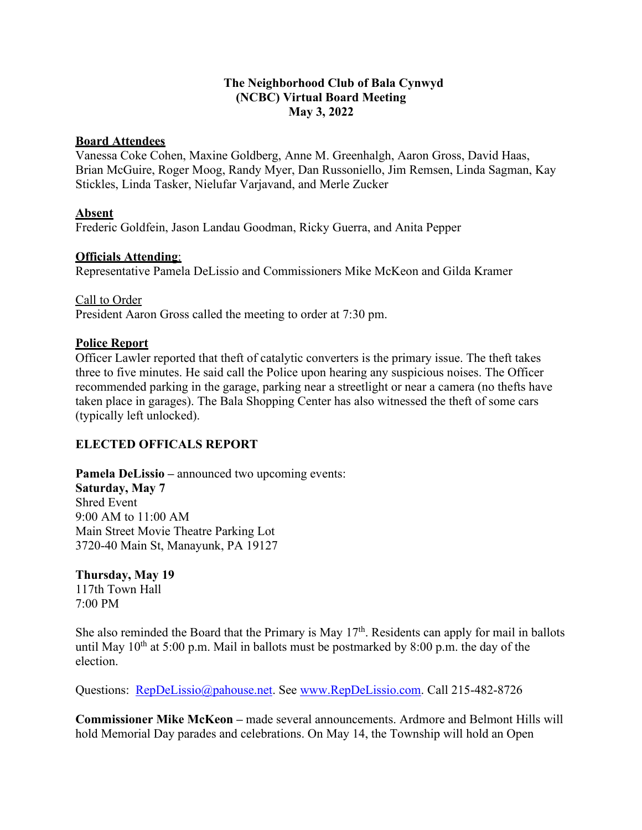#### **The Neighborhood Club of Bala Cynwyd (NCBC) Virtual Board Meeting May 3, 2022**

#### **Board Attendees**

Vanessa Coke Cohen, Maxine Goldberg, Anne M. Greenhalgh, Aaron Gross, David Haas, Brian McGuire, Roger Moog, Randy Myer, Dan Russoniello, Jim Remsen, Linda Sagman, Kay Stickles, Linda Tasker, Nielufar Varjavand, and Merle Zucker

### **Absent**

Frederic Goldfein, Jason Landau Goodman, Ricky Guerra, and Anita Pepper

### **Officials Attending**:

Representative Pamela DeLissio and Commissioners Mike McKeon and Gilda Kramer

Call to Order President Aaron Gross called the meeting to order at 7:30 pm.

#### **Police Report**

Officer Lawler reported that theft of catalytic converters is the primary issue. The theft takes three to five minutes. He said call the Police upon hearing any suspicious noises. The Officer recommended parking in the garage, parking near a streetlight or near a camera (no thefts have taken place in garages). The Bala Shopping Center has also witnessed the theft of some cars (typically left unlocked).

# **ELECTED OFFICALS REPORT**

**Pamela DeLissio** – announced two upcoming events: **Saturday, May 7**  [Shred Event](https://www.pahouse.com/DeLissio/Events?ID=122453) 9:00 AM to 11:00 AM Main Street Movie Theatre Parking Lot 3720-40 Main St, Manayunk, PA 19127

**Thursday, May 19** 

[117th Town Hall](https://www.pahouse.com/DeLissio/Events?ID=124070) 7:00 PM

She also reminded the Board that the Primary is May  $17<sup>th</sup>$ . Residents can apply for mail in ballots until May  $10^{th}$  at 5:00 p.m. Mail in ballots must be postmarked by 8:00 p.m. the day of the election.

Questions: [RepDeLissio@pahouse.net.](mailto:RepDeLissio@pahouse.net) See [www.RepDeLissio.com.](http://www.repdelissio.com/) Call 215-482-8726

**Commissioner Mike McKeon –** made several announcements. Ardmore and Belmont Hills will hold Memorial Day parades and celebrations. On May 14, the Township will hold an Open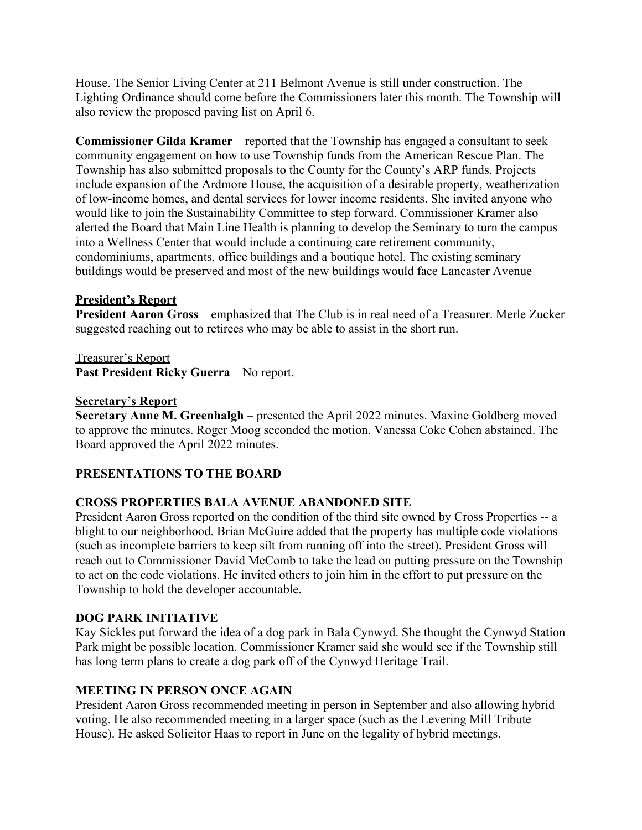House. The Senior Living Center at 211 Belmont Avenue is still under construction. The Lighting Ordinance should come before the Commissioners later this month. The Township will also review the proposed paving list on April 6.

**Commissioner Gilda Kramer** – reported that the Township has engaged a consultant to seek community engagement on how to use Township funds from the American Rescue Plan. The Township has also submitted proposals to the County for the County's ARP funds. Projects include expansion of the Ardmore House, the acquisition of a desirable property, weatherization of low-income homes, and dental services for lower income residents. She invited anyone who would like to join the Sustainability Committee to step forward. Commissioner Kramer also alerted the Board that Main Line Health is planning to develop the Seminary to turn the campus into a Wellness Center that would include a continuing care retirement community, condominiums, apartments, office buildings and a boutique hotel. The existing seminary buildings would be preserved and most of the new buildings would face Lancaster Avenue

# **President's Report**

**President Aaron Gross** – emphasized that The Club is in real need of a Treasurer. Merle Zucker suggested reaching out to retirees who may be able to assist in the short run.

Treasurer's Report

**Past President Ricky Guerra** – No report.

#### **Secretary's Report**

**Secretary Anne M. Greenhalgh** – presented the April 2022 minutes. Maxine Goldberg moved to approve the minutes. Roger Moog seconded the motion. Vanessa Coke Cohen abstained. The Board approved the April 2022 minutes.

# **PRESENTATIONS TO THE BOARD**

# **CROSS PROPERTIES BALA AVENUE ABANDONED SITE**

President Aaron Gross reported on the condition of the third site owned by Cross Properties -- a blight to our neighborhood. Brian McGuire added that the property has multiple code violations (such as incomplete barriers to keep silt from running off into the street). President Gross will reach out to Commissioner David McComb to take the lead on putting pressure on the Township to act on the code violations. He invited others to join him in the effort to put pressure on the Township to hold the developer accountable.

#### **DOG PARK INITIATIVE**

Kay Sickles put forward the idea of a dog park in Bala Cynwyd. She thought the Cynwyd Station Park might be possible location. Commissioner Kramer said she would see if the Township still has long term plans to create a dog park off of the Cynwyd Heritage Trail.

#### **MEETING IN PERSON ONCE AGAIN**

President Aaron Gross recommended meeting in person in September and also allowing hybrid voting. He also recommended meeting in a larger space (such as the Levering Mill Tribute House). He asked Solicitor Haas to report in June on the legality of hybrid meetings.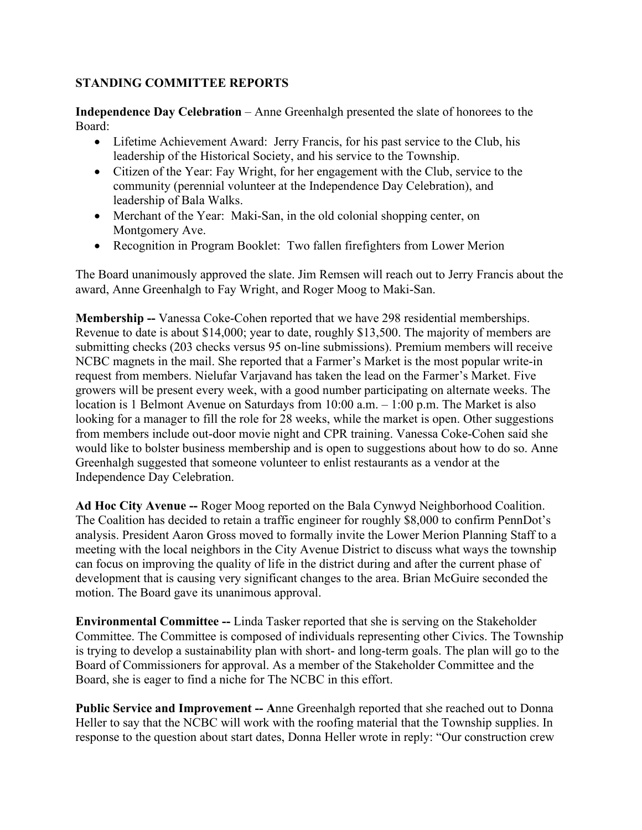# **STANDING COMMITTEE REPORTS**

**Independence Day Celebration** – Anne Greenhalgh presented the slate of honorees to the Board:

- Lifetime Achievement Award: Jerry Francis, for his past service to the Club, his leadership of the Historical Society, and his service to the Township.
- Citizen of the Year: Fay Wright, for her engagement with the Club, service to the community (perennial volunteer at the Independence Day Celebration), and leadership of Bala Walks.
- Merchant of the Year: Maki-San, in the old colonial shopping center, on Montgomery Ave.
- Recognition in Program Booklet: Two fallen firefighters from Lower Merion

The Board unanimously approved the slate. Jim Remsen will reach out to Jerry Francis about the award, Anne Greenhalgh to Fay Wright, and Roger Moog to Maki-San.

**Membership --** Vanessa Coke-Cohen reported that we have 298 residential memberships. Revenue to date is about \$14,000; year to date, roughly \$13,500. The majority of members are submitting checks (203 checks versus 95 on-line submissions). Premium members will receive NCBC magnets in the mail. She reported that a Farmer's Market is the most popular write-in request from members. Nielufar Varjavand has taken the lead on the Farmer's Market. Five growers will be present every week, with a good number participating on alternate weeks. The location is 1 Belmont Avenue on Saturdays from 10:00 a.m. – 1:00 p.m. The Market is also looking for a manager to fill the role for 28 weeks, while the market is open. Other suggestions from members include out-door movie night and CPR training. Vanessa Coke-Cohen said she would like to bolster business membership and is open to suggestions about how to do so. Anne Greenhalgh suggested that someone volunteer to enlist restaurants as a vendor at the Independence Day Celebration.

**Ad Hoc City Avenue --** Roger Moog reported on the Bala Cynwyd Neighborhood Coalition. The Coalition has decided to retain a traffic engineer for roughly \$8,000 to confirm PennDot's analysis. President Aaron Gross moved to formally invite the Lower Merion Planning Staff to a meeting with the local neighbors in the City Avenue District to discuss what ways the township can focus on improving the quality of life in the district during and after the current phase of development that is causing very significant changes to the area. Brian McGuire seconded the motion. The Board gave its unanimous approval.

**Environmental Committee --** Linda Tasker reported that she is serving on the Stakeholder Committee. The Committee is composed of individuals representing other Civics. The Township is trying to develop a sustainability plan with short- and long-term goals. The plan will go to the Board of Commissioners for approval. As a member of the Stakeholder Committee and the Board, she is eager to find a niche for The NCBC in this effort.

**Public Service and Improvement -- A**nne Greenhalgh reported that she reached out to Donna Heller to say that the NCBC will work with the roofing material that the Township supplies. In response to the question about start dates, Donna Heller wrote in reply: "Our construction crew